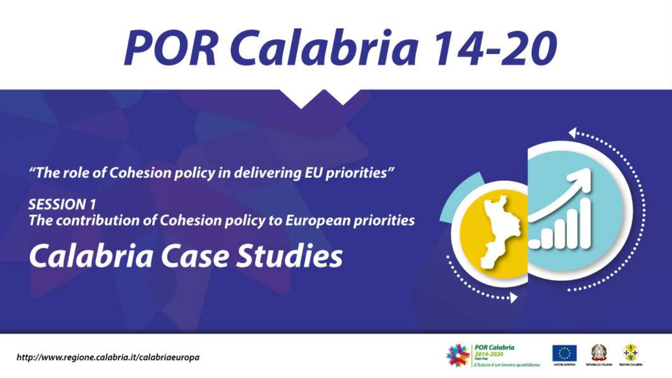# **POR Calabria 14-20**

"The role of Cohesion policy in delivering EU priorities"

**SESSION 1** The contribution of Cohesion policy to European priorities

## **Calabria Case Studies**





http://www.regione.calabria.it/calabriaeuropa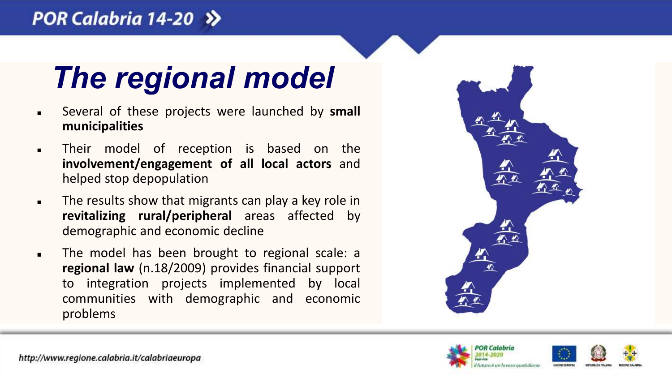#### POR Calabria 14-20 >>



- Several of these projects were launched by **small municipalities**
- **Their model of reception is based on the involvement/engagement of all local actors** and helped stop depopulation
- **Fig.** The results show that migrants can play a key role in **revitalizing rural/peripheral** areas affected by demographic and economic decline
- **The model has been brought to regional scale: a regional law** (n.18/2009) provides financial support to integration projects implemented by local communities with demographic and economic problems



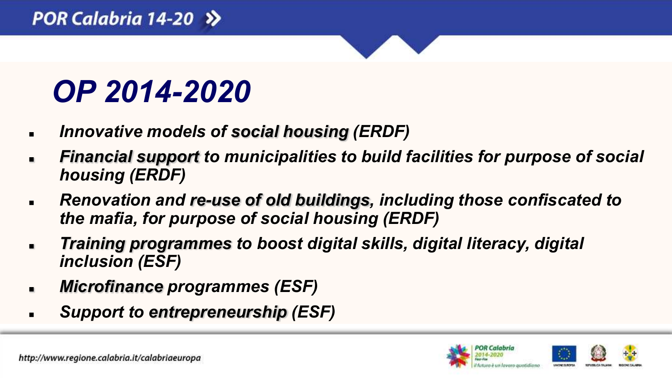### *OP 2014-2020*

- *Innovative models of social housing (ERDF)*
- *Financial support to municipalities to build facilities for purpose of social housing (ERDF)*
- *Renovation and re-use of old buildings, including those confiscated to the mafia, for purpose of social housing (ERDF)*
- *Training programmes to boost digital skills, digital literacy, digital inclusion (ESF)*
- *Microfinance programmes (ESF)*
- *Support to entrepreneurship (ESF)*

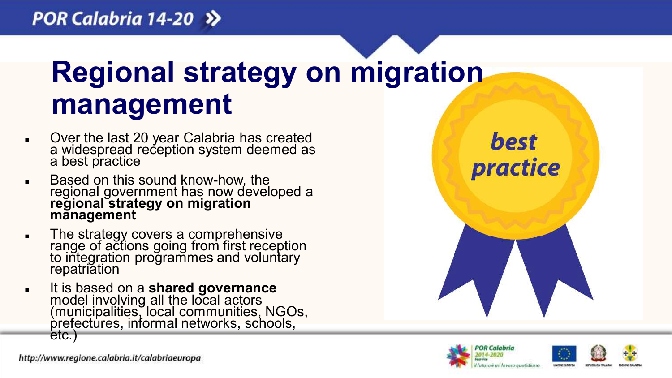### **Regional strategy on migration management**

- **Didelect** Over the last 20 year Calabria has created a widespread reception system deemed as a best practice
- **Based on this sound know-how, the** regional government has now developed a **regional strategy on migration management**
- The strategy covers a comprehensive range of actions going from first reception to integration programmes and voluntary repatriation
- It is based on a **shared governance**  model involving all the local actors (municipalities, local communities, NGOs, prefectures, informal networks, schools, etc.)

best practice



http://www.regione.calabria.it/calabriaeuropa